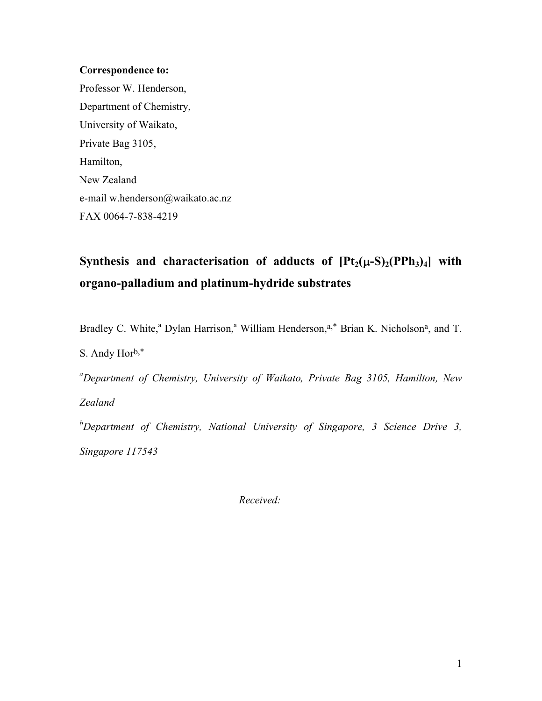### **Correspondence to:**

Professor W. Henderson, Department of Chemistry, University of Waikato, Private Bag 3105, Hamilton, New Zealand e-mail w.henderson@waikato.ac.nz FAX 0064-7-838-4219

# Synthesis and characterisation of adducts of  $[Pt_2(\mu-S)_2(PPh_3)_4]$  with **organo-palladium and platinum-hydride substrates**

Bradley C. White,<sup>a</sup> Dylan Harrison,<sup>a</sup> William Henderson,<sup>a,\*</sup> Brian K. Nicholson<sup>a</sup>, and T. S. Andy Horb,\* *a Department of Chemistry, University of Waikato, Private Bag 3105, Hamilton, New Zealand b Department of Chemistry, National University of Singapore, 3 Science Drive 3,* 

*Singapore 117543* 

 *Received:*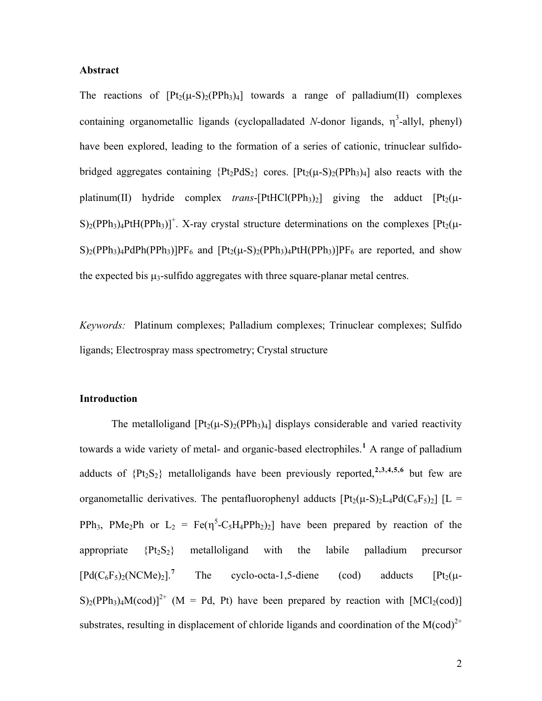#### **Abstract**

The reactions of  $[Pt_2(\mu-S)_2(PPh_3)_4]$  towards a range of palladium(II) complexes containing organometallic ligands (cyclopalladated  $N$ -donor ligands,  $\eta^3$ -allyl, phenyl) have been explored, leading to the formation of a series of cationic, trinuclear sulfidobridged aggregates containing  ${Pt_2PdS_2}$  cores.  $[Pt_2(\mu-S)_2(PPh_3)_4]$  also reacts with the platinum(II) hydride complex *trans*-[PtHCl(PPh<sub>3</sub>)<sub>2</sub>] giving the adduct  $[Pt_2(\mu S$ )<sub>2</sub>(PPh<sub>3</sub>)<sub>4</sub>PtH(PPh<sub>3</sub>)]<sup>+</sup>. X-ray crystal structure determinations on the complexes [Pt<sub>2</sub>( $\mu$ - $S$ <sub>2</sub>(PPh<sub>3</sub>)<sub>4</sub>PdPh(PPh<sub>3</sub>)]PF<sub>6</sub> and  $[Pt_2(\mu-S)_2(PPh_3)_4PtH(PPh_3)]PF_6$  are reported, and show the expected bis  $\mu_3$ -sulfido aggregates with three square-planar metal centres.

*Keywords:* Platinum complexes; Palladium complexes; Trinuclear complexes; Sulfido ligands; Electrospray mass spectrometry; Crystal structure

#### **Introduction**

The metalloligand  $[Pt_2(\mu-S)_2(PPh_3)_4]$  displays considerable and varied reactivity towards a wide variety of metal- and organic-based electrophiles.<sup>[1](#page-2-0)</sup> A range of palladium adducts of {Pt2S2} metalloligands have been previously reported,**[2](#page-2-1),[3](#page-2-1),[4](#page-2-1),[5](#page-2-1),[6](#page-2-1)** but few are organometallic derivatives. The pentafluorophenyl adducts  $[Pt_2(\mu-S)_2L_4Pd(C_6F_5)_2]$   $[L =$ PPh<sub>3</sub>, PMe<sub>2</sub>Ph or  $L_2 = \text{Fe}(\eta^5 - C_5H_4PPh_2)_2$  have been prepared by reaction of the appropriate  ${Pt_2S_2}$  metalloligand with the labile palladium precursor  $[Pd(C_6F_5)_2(NCMe)_2]$ .<sup>[7](#page-2-1)</sup> The cyclo-octa-1,5-diene (cod) adducts  $[Pt_2(\mu S$ <sup>2+</sup> (M = Pd, Pt) have been prepared by reaction with [MCl<sub>2</sub>(cod)] substrates, resulting in displacement of chloride ligands and coordination of the  $M(cod)^{2+}$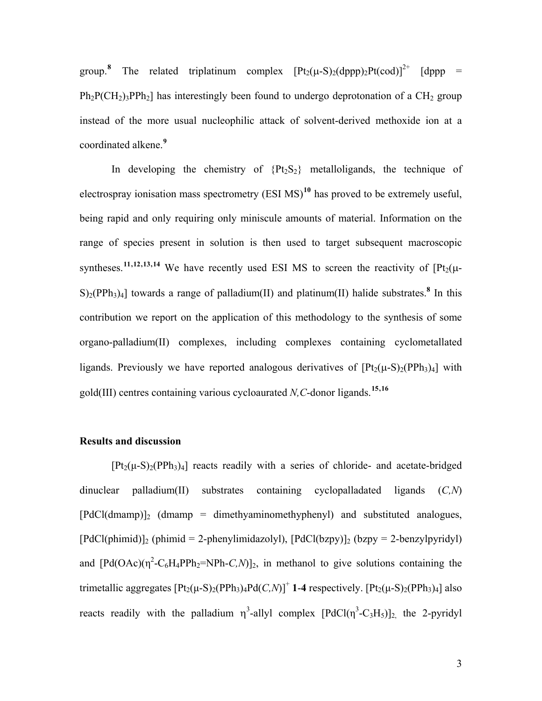<span id="page-2-1"></span><span id="page-2-0"></span>group.<sup>[8](#page-2-1)</sup> The related triplatinum complex  $[Pt_2(\mu-S)_2(\text{dppp})_2Pt(cod)]^{2+}$  [dppp =  $Ph_2P(CH_2)$ <sub>3</sub> $PPh_2$ ] has interestingly been found to undergo deprotonation of a CH<sub>2</sub> group instead of the more usual nucleophilic attack of solvent-derived methoxide ion at a coordinated alkene.**[9](#page-2-1)**

In developing the chemistry of  ${Pt_2S_2}$  metalloligands, the technique of electrospray ionisation mass spectrometry (ESI MS)**[10](#page-2-1)** has proved to be extremely useful, being rapid and only requiring only miniscule amounts of material. Information on the range of species present in solution is then used to target subsequent macroscopic syntheses.<sup>[11](#page-2-1),[12](#page-3-0),[13](#page-3-0),[14](#page-3-0)</sup> We have recently used ESI MS to screen the reactivity of  $[Pt_2(\mu S$ <sub>2</sub>(PPh<sub>3</sub>)<sub>4</sub>] towards a range of palladium(II) and platinum(II) halide substrates.<sup>8</sup> In this contribution we report on the application of this methodology to the synthesis of some organo-palladium(II) complexes, including complexes containing cyclometallated ligands. Previously we have reported analogous derivatives of  $[Pt_2(\mu-S)_2(PPh_3)_4]$  with gold(III) centres containing various cycloaurated *N,C*-donor ligands.**[15](#page-3-0),[16](#page-3-0)**

### **Results and discussion**

 $[Pt_2(\mu-S)_2(PPh_3)_4]$  reacts readily with a series of chloride- and acetate-bridged dinuclear palladium(II) substrates containing cyclopalladated ligands (*C,N*)  $[PdCl(dmamp)]_2$  (dmamp = dimethyaminomethyphenyl) and substituted analogues,  $[PdCl(phi)]_2$  (phimid = 2-phenylimidazolyl),  $[PdCl(bzpy)]_2$  (bzpy = 2-benzylpyridyl) and  $[Pd(OAc)(\eta^2-C_6H_4PPh_2=NPh-C,N)]_2$ , in methanol to give solutions containing the trimetallic aggregates  $[Pt_2(\mu-S)_2(PPh_3)_4Pd(C,N)]^+$  **1-4** respectively.  $[Pt_2(\mu-S)_2(PPh_3)_4]$  also reacts readily with the palladium  $\eta^3$ -allyl complex  $[PdCl(\eta^3-C_3H_5)]_2$ , the 2-pyridyl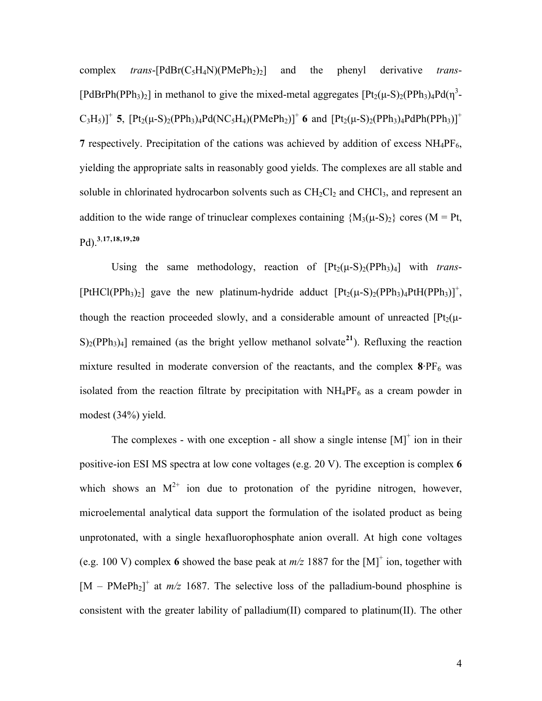<span id="page-3-0"></span>complex *trans*-[PdBr(C5H4N)(PMePh2)2] and the phenyl derivative *trans*- [PdBrPh(PPh<sub>3</sub>)<sub>2</sub>] in methanol to give the mixed-metal aggregates  $[Pt_2(\mu-S)_2(PPh_3)_4Pd(\eta^3-PrI_4P)$  $C_3H_5$ ]<sup>+</sup> **5**,  $[Pt_2(\mu-S)_2(PPh_3)_4Pd(NC_5H_4)(PMePh_2)]^+$  **6** and  $[Pt_2(\mu-S)_2(PPh_3)_4PdPh(PPh_3)]^+$ **7** respectively. Precipitation of the cations was achieved by addition of excess  $NH_4PF_6$ , yielding the appropriate salts in reasonably good yields. The complexes are all stable and soluble in chlorinated hydrocarbon solvents such as  $CH_2Cl_2$  and  $CHCl_3$ , and represent an addition to the wide range of trinuclear complexes containing  ${M_3(\mu-S)_2}$  cores (M = Pt, Pd).**<sup>3</sup>**,**[17](#page-3-0),[18](#page-3-0),[19](#page-3-0),[20](#page-3-0)**

Using the same methodology, reaction of  $[Pt_2(\mu-S)_2(PPh_3)_4]$  with *trans*-[PtHCl(PPh<sub>3</sub>)<sub>2</sub>] gave the new platinum-hydride adduct  $[Pt_2(\mu-S)_2(PPh_3)_4PtH(PPh_3)]^+$ , though the reaction proceeded slowly, and a considerable amount of unreacted  $[Pt_2(\mu S$ <sub>2</sub>(PPh<sub>3</sub>)<sub>4</sub>] remained (as the bright yellow methanol solvate<sup>[21](#page-3-0)</sup>). Refluxing the reaction mixture resulted in moderate conversion of the reactants, and the complex  $8.PF_6$  was isolated from the reaction filtrate by precipitation with  $NH_4PF_6$  as a cream powder in modest (34%) yield.

The complexes - with one exception - all show a single intense  $[M]^{+}$  ion in their positive-ion ESI MS spectra at low cone voltages (e.g. 20 V). The exception is complex **6**  which shows an  $M^{2+}$  ion due to protonation of the pyridine nitrogen, however, microelemental analytical data support the formulation of the isolated product as being unprotonated, with a single hexafluorophosphate anion overall. At high cone voltages (e.g. 100 V) complex 6 showed the base peak at  $m/z$  1887 for the  $[M]^{+}$  ion, together with  $[M - PMePh<sub>2</sub>]$ <sup>+</sup> at  $m/z$  1687. The selective loss of the palladium-bound phosphine is consistent with the greater lability of palladium(II) compared to platinum(II). The other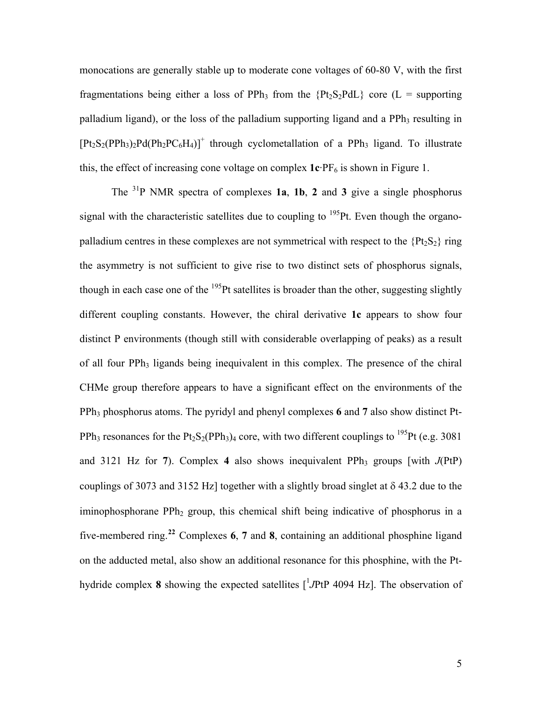<span id="page-4-0"></span>monocations are generally stable up to moderate cone voltages of 60-80 V, with the first fragmentations being either a loss of PPh<sub>3</sub> from the  ${Pt<sub>2</sub>S<sub>2</sub>PdL}$  core (L = supporting palladium ligand), or the loss of the palladium supporting ligand and a PPh<sub>3</sub> resulting in  $[Pt_2S_2(PPh_3)_2Pd(Ph_2PC_6H_4)]^+$  through cyclometallation of a PPh<sub>3</sub> ligand. To illustrate this, the effect of increasing cone voltage on complex  $1c$ · $PF_6$  is shown in Figure 1.

 The 31P NMR spectra of complexes **1a**, **1b**, **2** and **3** give a single phosphorus signal with the characteristic satellites due to coupling to  $^{195}$ Pt. Even though the organopalladium centres in these complexes are not symmetrical with respect to the  ${Pt<sub>2</sub>S<sub>2</sub>}$  ring the asymmetry is not sufficient to give rise to two distinct sets of phosphorus signals, though in each case one of the  $195$ Pt satellites is broader than the other, suggesting slightly different coupling constants. However, the chiral derivative **1c** appears to show four distinct P environments (though still with considerable overlapping of peaks) as a result of all four PPh<sub>3</sub> ligands being inequivalent in this complex. The presence of the chiral CHMe group therefore appears to have a significant effect on the environments of the PPh3 phosphorus atoms. The pyridyl and phenyl complexes **6** and **7** also show distinct Pt-PPh<sub>3</sub> resonances for the Pt<sub>2</sub>S<sub>2</sub>(PPh<sub>3</sub>)<sub>4</sub> core, with two different couplings to <sup>195</sup>Pt (e.g. 3081) and 3121 Hz for **7**). Complex 4 also shows inequivalent PPh<sub>3</sub> groups [with  $J(PtP)$ ] couplings of 3073 and 3152 Hz] together with a slightly broad singlet at δ 43.2 due to the iminophosphorane PPh<sub>2</sub> group, this chemical shift being indicative of phosphorus in a five-membered ring.**[22](#page-3-0)** Complexes **6**, **7** and **8**, containing an additional phosphine ligand on the adducted metal, also show an additional resonance for this phosphine, with the Pthydride complex 8 showing the expected satellites  $\int$ <sup>1</sup> *J*PtP 4094 Hz]. The observation of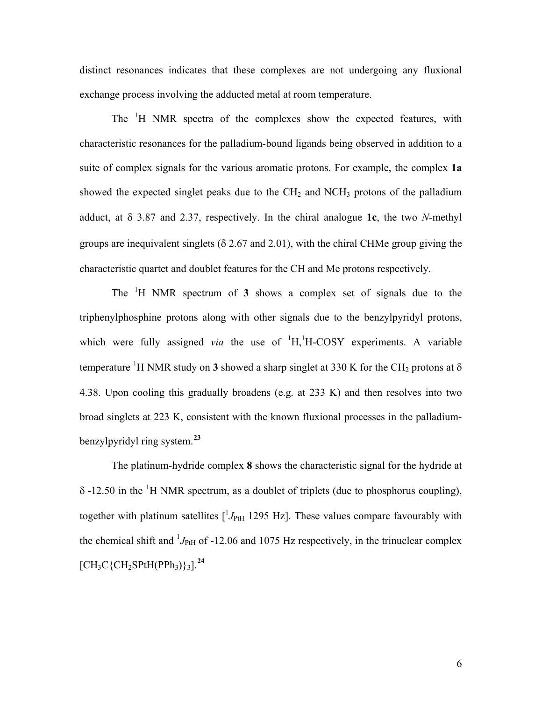distinct resonances indicates that these complexes are not undergoing any fluxional exchange process involving the adducted metal at room temperature.

The <sup>1</sup>H NMR spectra of the complexes show the expected features, with characteristic resonances for the palladium-bound ligands being observed in addition to a suite of complex signals for the various aromatic protons. For example, the complex **1a** showed the expected singlet peaks due to the  $CH<sub>2</sub>$  and  $NCH<sub>3</sub>$  protons of the palladium adduct, at δ 3.87 and 2.37, respectively. In the chiral analogue **1c**, the two *N*-methyl groups are inequivalent singlets ( $\delta$  2.67 and 2.01), with the chiral CHMe group giving the characteristic quartet and doublet features for the CH and Me protons respectively.

 The <sup>1</sup> H NMR spectrum of **3** shows a complex set of signals due to the triphenylphosphine protons along with other signals due to the benzylpyridyl protons, which were fully assigned *via* the use of  $H$ <sup>1</sup>H<sub>1</sub></sub><sup>1</sup>H<sub>-COSY</sub> experiments. A variable temperature <sup>1</sup>H NMR study on **3** showed a sharp singlet at 330 K for the CH<sub>2</sub> protons at  $\delta$ 4.38. Upon cooling this gradually broadens (e.g. at 233 K) and then resolves into two broad singlets at 223 K, consistent with the known fluxional processes in the palladiumbenzylpyridyl ring system.**[23](#page-3-0)**

 The platinum-hydride complex **8** shows the characteristic signal for the hydride at  $\delta$ -12.50 in the <sup>1</sup>H NMR spectrum, as a doublet of triplets (due to phosphorus coupling), together with platinum satellites  $\left[\frac{J_{\text{PtH}}}{J_{\text{PtH}}} \right]$  1295 Hz and H all all less compare favourably with the chemical shift and  $^{1}J_{\text{PH}}$  of -12.06 and 1075 Hz respectively, in the trinuclear complex  $[CH_3C\{CH_2SPtH(PPh_3)\}$ 3].<sup>[24](#page-3-0)</sup>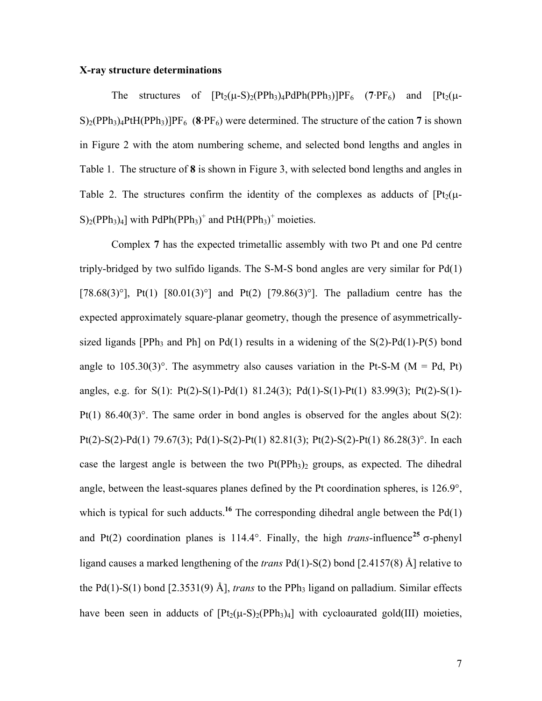#### **X-ray structure determinations**

The structures of  $[Pt_2(\mu-S)_2(PPh_3)_4PdPh(PPh_3)]PF_6$  (7·PF<sub>6</sub>) and  $[Pt_2(\mu-S)_2(PPh_3)_4PdPh(PPh_3)]PF_6$  $S$ <sub>2</sub>(PPh<sub>3</sub>)<sub>4</sub>PtH(PPh<sub>3</sub>)]PF<sub>6</sub> (8·PF<sub>6</sub>) were determined. The structure of the cation 7 is shown in Figure 2 with the atom numbering scheme, and selected bond lengths and angles in Table 1. The structure of **8** is shown in Figure 3, with selected bond lengths and angles in Table 2. The structures confirm the identity of the complexes as adducts of  $Pt_2(\mu S$ <sub>2</sub>(PPh<sub>3</sub>)<sub>4</sub>] with PdPh(PPh<sub>3</sub>)<sup>+</sup> and PtH(PPh<sub>3</sub>)<sup>+</sup> moieties.

 Complex **7** has the expected trimetallic assembly with two Pt and one Pd centre triply-bridged by two sulfido ligands. The S-M-S bond angles are very similar for Pd(1) [78.68(3)°], Pt(1) [80.01(3)°] and Pt(2) [79.86(3)°]. The palladium centre has the expected approximately square-planar geometry, though the presence of asymmetricallysized ligands [PPh<sub>3</sub> and Ph] on Pd(1) results in a widening of the  $S(2)$ -Pd(1)-P(5) bond angle to  $105.30(3)$ °. The asymmetry also causes variation in the Pt-S-M (M = Pd, Pt) angles, e.g. for S(1): Pt(2)-S(1)-Pd(1) 81.24(3); Pd(1)-S(1)-Pt(1) 83.99(3); Pt(2)-S(1)- Pt(1) 86.40(3) $^{\circ}$ . The same order in bond angles is observed for the angles about S(2): Pt(2)-S(2)-Pd(1) 79.67(3); Pd(1)-S(2)-Pt(1) 82.81(3); Pt(2)-S(2)-Pt(1) 86.28(3)°. In each case the largest angle is between the two  $Pt(PPh_3)_2$  groups, as expected. The dihedral angle, between the least-squares planes defined by the Pt coordination spheres, is 126.9°, which is typical for such adducts.<sup>16</sup> The corresponding dihedral angle between the Pd(1) and Pt(2) coordination planes is 114.4°. Finally, the high *trans*-influence<sup>[25](#page-4-0)</sup>  $\sigma$ -phenyl ligand causes a marked lengthening of the *trans* Pd(1)-S(2) bond [2.4157(8) Å] relative to the Pd(1)-S(1) bond [2.3531(9) Å], *trans* to the PPh<sub>3</sub> ligand on palladium. Similar effects have been seen in adducts of  $[Pt_2(\mu-S)_2(PPh_3)_4]$  with cycloaurated gold(III) moieties,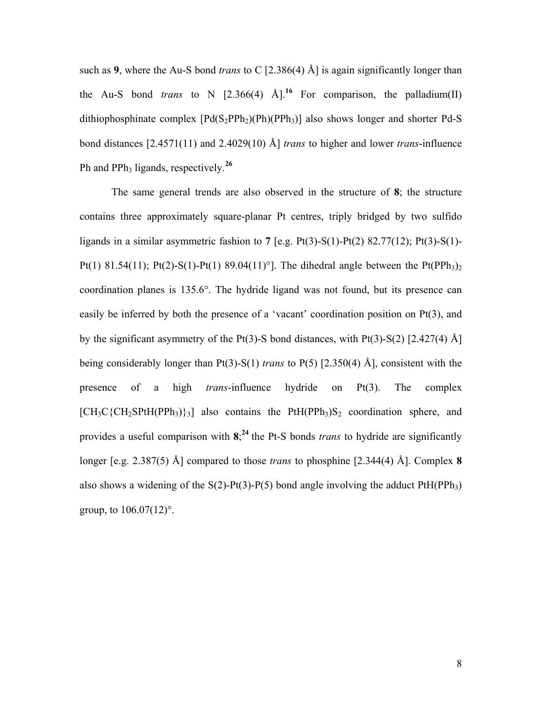such as **9**, where the Au-S bond *trans* to C [2.386(4) Å] is again significantly longer than the Au-S bond *trans* to N  $[2.366(4)$   $\text{\AA}]$ <sup>16</sup> For comparison, the palladium(II) dithiophosphinate complex  $[Pd(S_2PPh_2)(Ph)(PPh_3)]$  also shows longer and shorter Pd-S bond distances [2.4571(11) and 2.4029(10) Å] *trans* to higher and lower *trans*-influence Ph and PPh<sub>3</sub> ligands, respectively.<sup>[26](#page-4-0)</sup>

 The same general trends are also observed in the structure of **8**; the structure contains three approximately square-planar Pt centres, triply bridged by two sulfido ligands in a similar asymmetric fashion to **7** [e.g. Pt(3)-S(1)-Pt(2) 82.77(12); Pt(3)-S(1)- Pt(1) 81.54(11); Pt(2)-S(1)-Pt(1) 89.04(11)<sup>o</sup>]. The dihedral angle between the Pt(PPh<sub>3</sub>)<sub>2</sub> coordination planes is 135.6°. The hydride ligand was not found, but its presence can easily be inferred by both the presence of a 'vacant' coordination position on Pt(3), and by the significant asymmetry of the Pt(3)-S bond distances, with Pt(3)-S(2)  $[2.427(4)$  Å] being considerably longer than Pt(3)-S(1) *trans* to P(5) [2.350(4) Å], consistent with the presence of a high *trans*-influence hydride on Pt(3). The complex  $[CH_3C\{CH_2SPtH(PPh_3)\}_3]$  also contains the PtH(PPh<sub>3</sub>)S<sub>2</sub> coordination sphere, and provides a useful comparison with **8**; **<sup>24</sup>**the Pt-S bonds *trans* to hydride are significantly longer [e.g. 2.387(5) Å] compared to those *trans* to phosphine [2.344(4) Å]. Complex **8** also shows a widening of the  $S(2)$ -Pt(3)-P(5) bond angle involving the adduct PtH(PPh<sub>3</sub>) group, to  $106.07(12)$ °.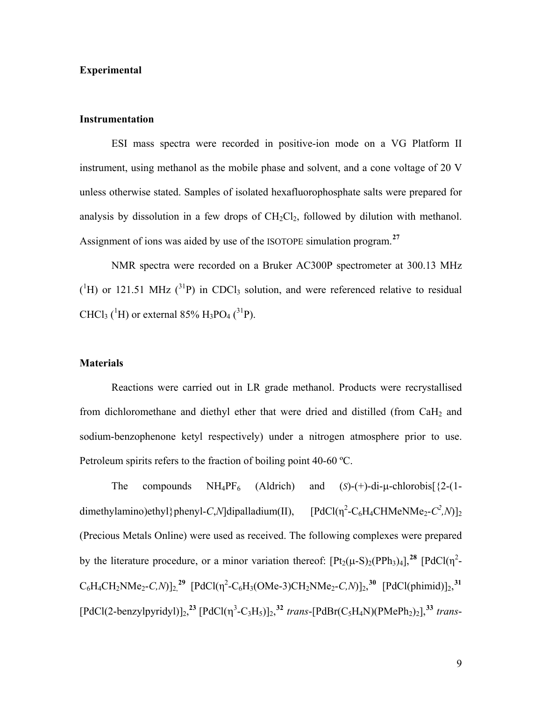### **Experimental**

### **Instrumentation**

 ESI mass spectra were recorded in positive-ion mode on a VG Platform II instrument, using methanol as the mobile phase and solvent, and a cone voltage of 20 V unless otherwise stated. Samples of isolated hexafluorophosphate salts were prepared for analysis by dissolution in a few drops of  $CH_2Cl_2$ , followed by dilution with methanol. Assignment of ions was aided by use of the ISOTOPE simulation program.**[27](#page-4-0)**

 NMR spectra were recorded on a Bruker AC300P spectrometer at 300.13 MHz  $({}^{1}H)$  or 121.51 MHz  $({}^{31}P)$  in CDCl<sub>3</sub> solution, and were referenced relative to residual CHCl<sub>3</sub> (<sup>1</sup>H) or external 85% H<sub>3</sub>PO<sub>4</sub> (<sup>31</sup>P).

#### **Materials**

Reactions were carried out in LR grade methanol. Products were recrystallised from dichloromethane and diethyl ether that were dried and distilled (from CaH2 and sodium-benzophenone ketyl respectively) under a nitrogen atmosphere prior to use. Petroleum spirits refers to the fraction of boiling point 40-60 ºC.

The compounds  $NH_4PF_6$  (Aldrich) and (*S*)-(+)-di- $\mu$ -chlorobis[ $\{2-(1-\mu)\}$ dimethylamino)ethyl}phenyl-*C*,*N*]dipalladium(II),  $-C_6H_4CHMeNMe_2-C^2$ ,*N*)]<sub>2</sub> (Precious Metals Online) were used as received. The following complexes were prepared by the literature procedure, or a minor variation thereof:  $[Pt_2(\mu-S)_2(PPh_3)_4]$ ,<sup>[28](#page-4-0)</sup>  $[PdCl(\eta^2-S)_2]$  $C_6H_4CH_2NMe_2-C,N$ ]<sub>2</sub>,<sup>[29](#page-4-0)</sup> [PdCl( $\eta^2$ -C<sub>6</sub>H<sub>3</sub>(OMe-3)CH<sub>2</sub>NMe<sub>2</sub>-C,N)]<sub>2</sub>,<sup>[30](#page-4-0)</sup> [PdCl(phimid)]<sub>2</sub>,<sup>[31](#page-4-0)</sup>  $[PdCl(2-benzylpyridyl)]_2$ ,<sup>23</sup>  $[PdCl(\eta^3-C_3H_5)]_2$ ,<sup>[32](#page-4-0)</sup> *trans*- $[PdBr(C_5H_4N)(PMePh_2)_2]$ ,<sup>[33](#page-4-0)</sup> *trans*-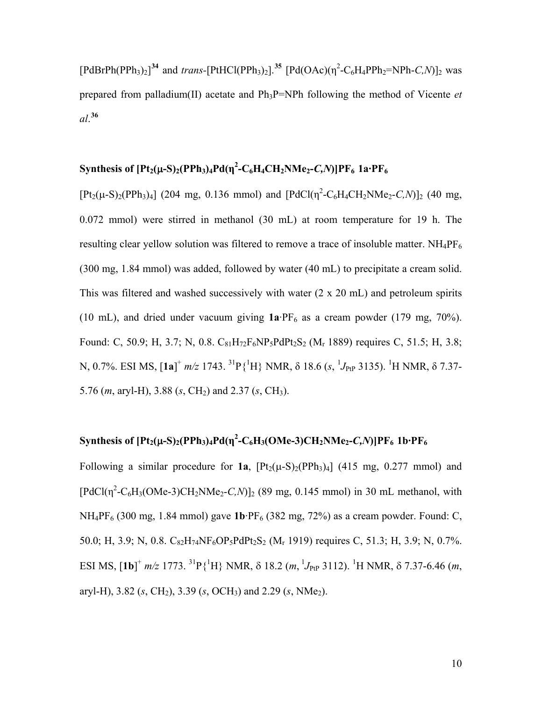$[PdBrPh(PPh<sub>3</sub>)<sub>2</sub>]$ <sup>[34](#page-4-0)</sup> and *trans*- $[PtHCl(PPh<sub>3</sub>)<sub>2</sub>].$ <sup>[35](#page-4-0)</sup>  $[Pd(OAc)(\eta^2-C_6H_4PPh_2=NPh-C,N)]_2$  was prepared from palladium(II) acetate and Ph3P=NPh following the method of Vicente *et al*. **[36](#page-4-0)**

# **Synthesis of [Pt2(**μ**-S)2(PPh3)4Pd(η<sup>2</sup> -C6H4CH2NMe2-***C,N***)]PF6 1a·PF6**

 $[Pt_2(\mu-S)_2(PPh_3)_4]$  (204 mg, 0.136 mmol) and  $[PdCl(\eta^2-C_6H_4CH_2NMe_2-C,N)]_2$  (40 mg, 0.072 mmol) were stirred in methanol (30 mL) at room temperature for 19 h. The resulting clear yellow solution was filtered to remove a trace of insoluble matter.  $NH_4PF_6$ (300 mg, 1.84 mmol) was added, followed by water (40 mL) to precipitate a cream solid. This was filtered and washed successively with water (2 x 20 mL) and petroleum spirits (10 mL), and dried under vacuum giving  $1a\text{·PF}_6$  as a cream powder (179 mg, 70%). Found: C, 50.9; H, 3.7; N, 0.8.  $C_{81}H_{72}F_6NP_5PdPt_2S_2$  (M<sub>r</sub> 1889) requires C, 51.5; H, 3.8; N, 0.7%. ESI MS, [**1a**]<sup>+</sup> m/z 1743. <sup>31</sup>P{<sup>1</sup>H} NMR, δ 18.6 (s, <sup>1</sup>J<sub>PtP</sub> 3135). <sup>1</sup>H NMR, δ 7.37-5.76 (*m*, aryl-H), 3.88 (*s*, CH<sub>2</sub>) and 2.37 (*s*, CH<sub>3</sub>).

# **Synthesis of**  $[Pt_2(\mu-S)_2(PPh_3)_4Pd(\eta^2-C_6H_3(OMe-3)CH_2NMe_2-C,N)]PF_6$  **1b·** $PF_6$

Following a similar procedure for  $1a$ ,  $[Pt_2(\mu-S)_2(PPh_3)_4]$  (415 mg, 0.277 mmol) and  $[PdCl(\eta^2-C_6H_3(OMe-3)CH_2NMe_2-C,N)]_2$  (89 mg, 0.145 mmol) in 30 mL methanol, with NH4PF6 (300 mg, 1.84 mmol) gave **1b**·PF6 (382 mg, 72%) as a cream powder. Found: C, 50.0; H, 3.9; N, 0.8.  $C_{82}H_{74}N F_6OP_5PdPt_2S_2$  (M<sub>r</sub> 1919) requires C, 51.3; H, 3.9; N, 0.7%. ESI MS,  $[1b]^+$   $m/z$  1773. <sup>31</sup>P{<sup>1</sup>H} NMR,  $\delta$  18.2  $(m, {}^{1}J_{\text{PtP}}$  3112). <sup>1</sup>H NMR,  $\delta$  7.37-6.46  $(m,$ aryl-H), 3.82 (*s*, CH<sub>2</sub>), 3.39 (*s*, OCH<sub>3</sub>) and 2.29 (*s*, NMe<sub>2</sub>).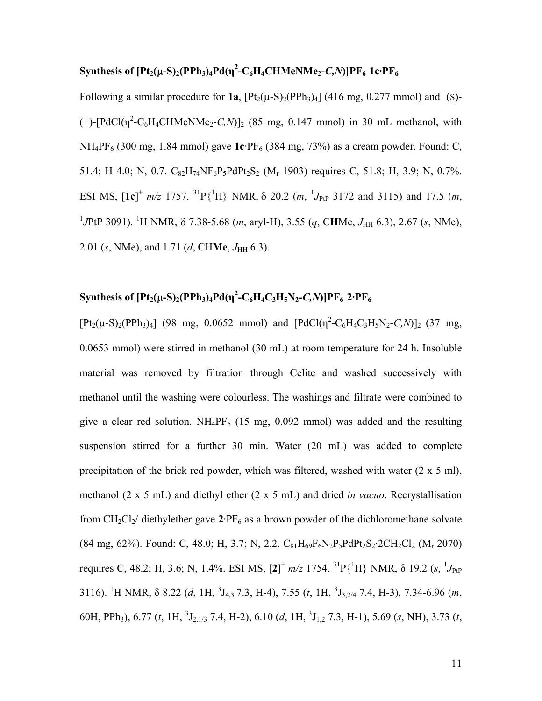# **Synthesis of [Pt2(**μ**-S)2(PPh3)4Pd(η<sup>2</sup> -C6H4CHMeNMe2-***C,N***)]PF6 1c·PF6**

Following a similar procedure for  $1a$ ,  $[Pt_2(\mu-S)_2(PPh_3)_4]$  (416 mg, 0.277 mmol) and (S)- $(+)$ -[PdCl( $\eta^2$ -C<sub>6</sub>H<sub>4</sub>CHMeNMe<sub>2</sub>-*C*,*N*)]<sub>2</sub> (85 mg, 0.147 mmol) in 30 mL methanol, with NH4PF6 (300 mg, 1.84 mmol) gave **1c**·PF6 (384 mg, 73%) as a cream powder. Found: C, 51.4; H 4.0; N, 0.7.  $C_{82}H_{74}N F_6P_5PdPt_2S_2$  (M<sub>r</sub> 1903) requires C, 51.8; H, 3.9; N, 0.7%. ESI MS,  $[1c]^+$   $m/z$  1757. <sup>31</sup>P{<sup>1</sup>H} NMR,  $\delta$  20.2  $(m, {}^{1}J_{\text{PtP}}$  3172 and 3115) and 17.5  $(m,$ <sup>1</sup>JPtP 3091). <sup>1</sup>H NMR, δ 7.38-5.68 (*m*, aryl-H), 3.55 (*q*, CHMe, *J*<sub>HH</sub> 6.3), 2.67 (*s*, NMe), 2.01 (*s*, NMe), and 1.71 (*d*, CHMe, *J*<sub>HH</sub> 6.3).

# **Synthesis of [Pt<sub>2</sub>(μ-S)<sub>2</sub>(PPh<sub>3</sub>)<sub>4</sub>Pd(η<sup>2</sup>-C<sub>6</sub>H<sub>4</sub>C<sub>3</sub>H<sub>5</sub>N<sub>2</sub>-***C,N***)]PF<sub>6</sub> 2·PF<sub>6</sub>**

 $[Pt_2(\mu-S)_2(PPh_3)_4]$  (98 mg, 0.0652 mmol) and  $[PdCl(\eta^2-C_6H_4C_3H_5N_2-C_6N)]_2$  (37 mg, 0.0653 mmol) were stirred in methanol (30 mL) at room temperature for 24 h. Insoluble material was removed by filtration through Celite and washed successively with methanol until the washing were colourless. The washings and filtrate were combined to give a clear red solution.  $NH_4PF_6$  (15 mg, 0.092 mmol) was added and the resulting suspension stirred for a further 30 min. Water (20 mL) was added to complete precipitation of the brick red powder, which was filtered, washed with water  $(2 \times 5 \text{ ml})$ , methanol (2 x 5 mL) and diethyl ether (2 x 5 mL) and dried *in vacuo*. Recrystallisation from  $CH_2Cl_2$  diethylether gave  $2.PF_6$  as a brown powder of the dichloromethane solvate  $(84 \text{ mg}, 62\%)$ . Found: C, 48.0; H, 3.7; N, 2.2. C<sub>81</sub>H<sub>69</sub>F<sub>6</sub>N<sub>2</sub>P<sub>5</sub>PdPt<sub>2</sub>S<sub>2</sub>·2CH<sub>2</sub>Cl<sub>2</sub> (M<sub>r</sub> 2070) requires C, 48.2; H, 3.6; N, 1.4%. ESI MS,  $[2]^+$  *m/z* 1754. <sup>31</sup>P{<sup>1</sup>H} NMR, δ 19.2 (*s*, <sup>1</sup>*J*<sub>PtP</sub> 3116). <sup>1</sup>H NMR,  $\delta$  8.22 (*d*, 1H, <sup>3</sup>J<sub>4,3</sub> 7.3, H-4), 7.55 (*t*, 1H, <sup>3</sup>J<sub>3,2/4</sub> 7.4, H-3), 7.34-6.96 (*m*, 60H, PPh3), 6.77 (*t*, 1H, <sup>3</sup> J2,1/3 7.4, H-2), 6.10 (*d*, 1H, <sup>3</sup> J1,2 7.3, H-1), 5.69 (*s*, NH), 3.73 (*t*,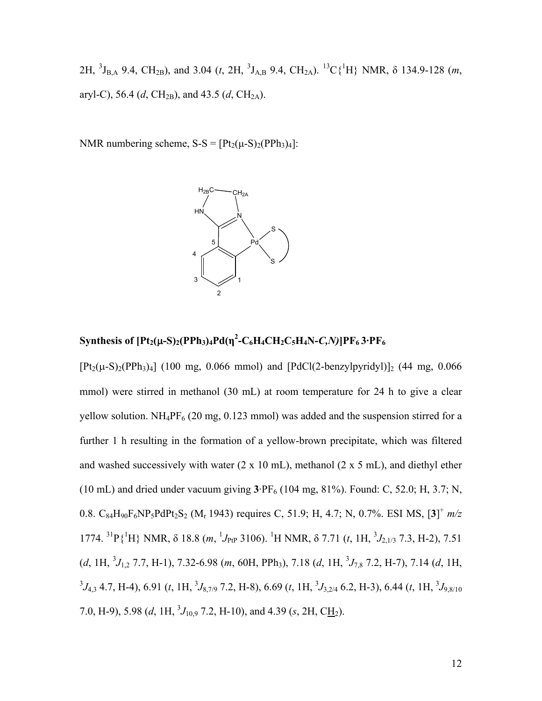2H, <sup>3</sup>J<sub>B,A</sub> 9.4, CH<sub>2B</sub>), and 3.04 (*t*, 2H, <sup>3</sup>J<sub>A,B</sub> 9.4, CH<sub>2A</sub>). <sup>13</sup>C{<sup>1</sup>H} NMR,  $\delta$  134.9-128 (*m*, aryl-C), 56.4 (*d*, CH<sub>2B</sub>), and 43.5 (*d*, CH<sub>2A</sub>).

NMR numbering scheme,  $S-S = [Pt_2(\mu-S)_2(PPh_3)_4]$ :



# **Synthesis of [Pt2(**μ**-S)2(PPh3)4Pd(η<sup>2</sup> -C6H4CH2C5H4N-***C,N)***]PF6 3·PF6**

 $[Pt<sub>2</sub>(\mu-S)<sub>2</sub>(PPh<sub>3</sub>)<sub>4</sub>]$  (100 mg, 0.066 mmol) and  $[PdCl(2-benzvlyvridv])<sub>2</sub>$  (44 mg, 0.066 mmol) were stirred in methanol (30 mL) at room temperature for 24 h to give a clear yellow solution.  $NH_4PF_6$  (20 mg, 0.123 mmol) was added and the suspension stirred for a further 1 h resulting in the formation of a yellow-brown precipitate, which was filtered and washed successively with water  $(2 \times 10 \text{ mL})$ , methanol  $(2 \times 5 \text{ mL})$ , and diethyl ether (10 mL) and dried under vacuum giving  $3.9F_6$  (104 mg, 81%). Found: C, 52.0; H, 3.7; N, 0.8. C<sub>84</sub>H<sub>90</sub>F<sub>6</sub>NP<sub>5</sub>PdPt<sub>2</sub>S<sub>2</sub> (M<sub>r</sub> 1943) requires C, 51.9; H, 4.7; N, 0.7%. ESI MS, [3]<sup>+</sup> m/z 1774. <sup>31</sup>P{<sup>1</sup>H} NMR, δ 18.8 (*m*, <sup>1</sup>*J*<sub>PtP</sub> 3106). <sup>1</sup>H NMR, δ 7.71 (*t*, 1H, <sup>3</sup>*J*<sub>2,1/3</sub> 7.3, H-2), 7.51  $(d, 1H, {}^{3}J_{1,2}$  7.7, H-1), 7.32-6.98 (*m*, 60H, PPh<sub>3</sub>), 7.18 (*d*, 1H,  ${}^{3}J_{7,8}$  7.2, H-7), 7.14 (*d*, 1H,  ${}^3J_{4,3}$  4.7, H-4), 6.91 (*t*, 1H,  ${}^3J_{8,7/9}$  7.2, H-8), 6.69 (*t*, 1H,  ${}^3J_{3,2/4}$  6.2, H-3), 6.44 (*t*, 1H,  ${}^3J_{9,8/10}$ 7.0, H-9), 5.98 (*d*, 1H,  ${}^{3}J_{10,9}$  7.2, H-10), and 4.39 (*s*, 2H, C<u>H<sub>2</sub></u>).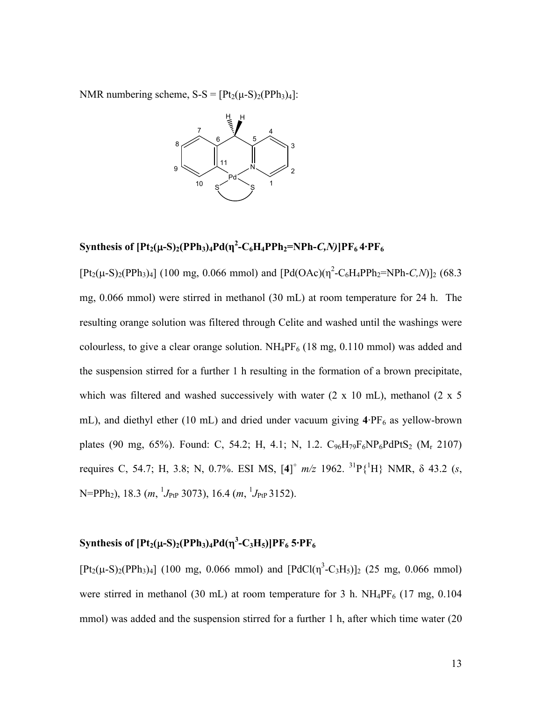NMR numbering scheme,  $S-S = [Pt_2(\mu-S)_2(PPh_3)_4]$ :



# $\text{Synthesis of } [\text{Pt}_2(\mu\text{-S})_2(\text{PPh}_3)_4\text{Pd}(\eta^2\text{-C}_6\text{H}_4\text{PPh}_2\text{=NPh-}C,N)]\text{PF}_6\text{4}\cdot\text{PF}_6$

 $[Pt_2(\mu-S)_2(PPh_3)_4]$  (100 mg, 0.066 mmol) and  $[Pd(OAc)(\eta^2-C_6H_4PPh_2=NPh-C,N)]_2$  (68.3 mg, 0.066 mmol) were stirred in methanol (30 mL) at room temperature for 24 h. The resulting orange solution was filtered through Celite and washed until the washings were colourless, to give a clear orange solution.  $NH_4PF_6$  (18 mg, 0.110 mmol) was added and the suspension stirred for a further 1 h resulting in the formation of a brown precipitate, which was filtered and washed successively with water  $(2 \times 10 \text{ mL})$ , methanol  $(2 \times 5 \text{ m})$ mL), and diethyl ether (10 mL) and dried under vacuum giving  $4.PF_6$  as yellow-brown plates (90 mg, 65%). Found: C, 54.2; H, 4.1; N, 1.2.  $C_{96}H_{79}F_{6}NP_{6}PdPtS_2$  (M<sub>r</sub> 2107) requires C, 54.7; H, 3.8; N, 0.7%. ESI MS,  $[4]^+$  *m/z* 1962. <sup>31</sup>P{<sup>1</sup>H} NMR, δ 43.2 (*s*, N=PPh<sub>2</sub>), 18.3 (*m*, <sup>1</sup>*J*<sub>PtP</sub> 3073), 16.4 (*m*, <sup>1</sup>*J*<sub>PtP</sub> 3152).

# Synthesis of  $[\text{Pt}_2(\mu\text{-S})_2(\text{PPh}_3)_4\text{Pd}(\eta^3\text{-C}_3\text{H}_5)]\text{PF}_6$  5 $\cdot\text{PF}_6$

 $[Pt_2(\mu-S)_2(PPh_3)_4]$  (100 mg, 0.066 mmol) and  $[PdCl(\eta^3-C_3H_5)]_2$  (25 mg, 0.066 mmol) were stirred in methanol (30 mL) at room temperature for 3 h.  $NH_4PF_6$  (17 mg, 0.104 mmol) was added and the suspension stirred for a further 1 h, after which time water (20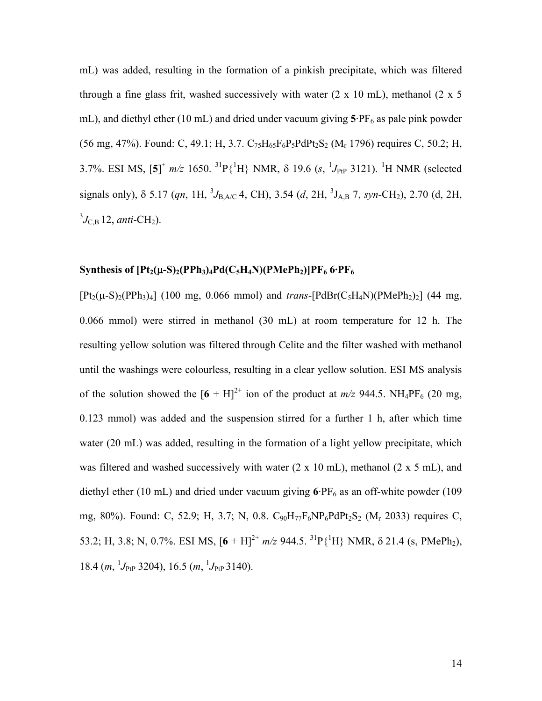mL) was added, resulting in the formation of a pinkish precipitate, which was filtered through a fine glass frit, washed successively with water  $(2 \times 10 \text{ mL})$ , methanol  $(2 \times 5 \text{ m})$ mL), and diethyl ether (10 mL) and dried under vacuum giving  $5.$  PF<sub>6</sub> as pale pink powder (56 mg, 47%). Found: C, 49.1; H, 3.7.  $C_{75}H_{65}F_{6}P_{5}PdP_{4}S_{2}$  (M<sub>r</sub> 1796) requires C, 50.2; H, 3.7%. ESI MS,  $[5]^+$   $m/z$  1650. <sup>31</sup>P{<sup>1</sup>H} NMR,  $\delta$  19.6 (s, <sup>1</sup>J<sub>PtP</sub> 3121). <sup>1</sup>H NMR (selected signals only),  $\delta$  5.17 (*qn*, 1H, <sup>3</sup>*J*<sub>B,A/C</sub> 4, CH), 3.54 (*d*, 2H, <sup>3</sup>*J*<sub>A,B</sub> 7, *syn*-CH<sub>2</sub>), 2.70 (d, 2H,  ${}^{3}J_{\rm C,B}$  12, *anti*-CH<sub>2</sub>).

#### **Synthesis of**  $[Pt_2(\mu-S)_2(PPh_3)_4Pd(C_5H_4N)(PMePh_2)]PF_6$  **6·** $PF_6$

 $[Pt_2(\mu-S)_2(PPh_3)_4]$  (100 mg, 0.066 mmol) and *trans*- $[PdBr(C_5H_4N)(PMePh_2)_2]$  (44 mg, 0.066 mmol) were stirred in methanol (30 mL) at room temperature for 12 h. The resulting yellow solution was filtered through Celite and the filter washed with methanol until the washings were colourless, resulting in a clear yellow solution. ESI MS analysis of the solution showed the  $[6 + H]^{2+}$  ion of the product at  $m/z$  944.5. NH<sub>4</sub>PF<sub>6</sub> (20 mg, 0.123 mmol) was added and the suspension stirred for a further 1 h, after which time water (20 mL) was added, resulting in the formation of a light yellow precipitate, which was filtered and washed successively with water (2 x 10 mL), methanol (2 x 5 mL), and diethyl ether (10 mL) and dried under vacuum giving  $6.$  PF $_6$  as an off-white powder (109 mg, 80%). Found: C, 52.9; H, 3.7; N, 0.8.  $C_{90}H_{77}F_6NP_6PdPt_2S_2$  (M<sub>r</sub> 2033) requires C, 53.2; H, 3.8; N, 0.7%. ESI MS,  $[6 + H]^{2+}$   $m/z$  944.5. <sup>31</sup>P{<sup>1</sup>H} NMR,  $\delta$  21.4 (s, PMePh<sub>2</sub>), 18.4 (*m*, <sup>1</sup> $J_{\text{PtP}}$  3204), 16.5 (*m*, <sup>1</sup> $J_{\text{PtP}}$  3140).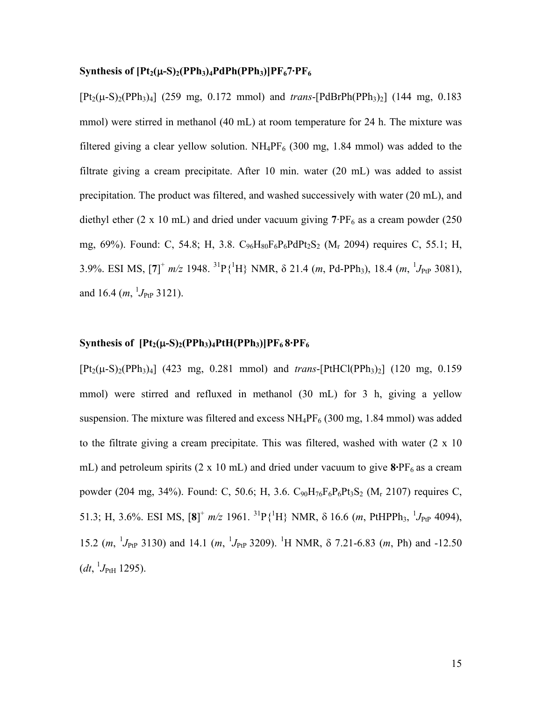#### **Synthesis of**  $[Pt_2(\mu-S)_2(PPh_3)_4PdPh(PPh_3)]PF_67\cdot PF_6$

 $[Pt_2(\mu-S)_2(PPh_3)_4]$  (259 mg, 0.172 mmol) and *trans*- $[PdBrPh(PPh_3)_2]$  (144 mg, 0.183 mmol) were stirred in methanol (40 mL) at room temperature for 24 h. The mixture was filtered giving a clear yellow solution.  $NH_4PF_6$  (300 mg, 1.84 mmol) was added to the filtrate giving a cream precipitate. After 10 min. water (20 mL) was added to assist precipitation. The product was filtered, and washed successively with water (20 mL), and diethyl ether (2 x 10 mL) and dried under vacuum giving  $7.PF_6$  as a cream powder (250) mg,  $69\%$ ). Found: C, 54.8; H, 3.8.  $C_{96}H_{80}F_{6}P_{6}P_{6}P_{6}P_{52}$  (M<sub>r</sub> 2094) requires C, 55.1; H, 3.9%. ESI MS,  $[7]^+$   $m/z$  1948. <sup>31</sup>P{<sup>1</sup>H} NMR,  $\delta$  21.4 (*m*, Pd-PPh<sub>3</sub>), 18.4 (*m*, <sup>1</sup>J<sub>PtP</sub> 3081), and 16.4  $(m, {}^{1}J_{\text{PtP}} 3121)$ .

#### **Synthesis of**  $[Pt_2(\mu-S)_2(PPh_3)_4PtH(PPh_3)]PF_68\cdot PF_6$

 $[Pt_2(\mu-S)_2(PPh_3)_4]$  (423 mg, 0.281 mmol) and *trans*- $[PtHCl(PPh_3)_2]$  (120 mg, 0.159 mmol) were stirred and refluxed in methanol (30 mL) for 3 h, giving a yellow suspension. The mixture was filtered and excess  $NH_4PF_6$  (300 mg, 1.84 mmol) was added to the filtrate giving a cream precipitate. This was filtered, washed with water (2 x 10 mL) and petroleum spirits  $(2 \times 10 \text{ mL})$  and dried under vacuum to give  $8.9\text{F}_6$  as a cream powder (204 mg, 34%). Found: C, 50.6; H, 3.6.  $C_{90}H_{76}F_{6}P_{6}P_{5}S_{2}$  (M<sub>r</sub> 2107) requires C, 51.3; H, 3.6%. ESI MS,  $[8]^+$   $m/z$  1961. <sup>31</sup>P{<sup>1</sup>H} NMR,  $\delta$  16.6 (*m*, PtHPPh<sub>3</sub>, <sup>1</sup>J<sub>PtP</sub> 4094), 15.2  $(m, {}^{1}J_{\text{PtP}}$  3130) and 14.1  $(m, {}^{1}J_{\text{PtP}}$  3209). <sup>1</sup>H NMR,  $\delta$  7.21-6.83  $(m, Ph)$  and -12.50  $(dt, \, {}^{1}J_{\rm PtH}$  1295).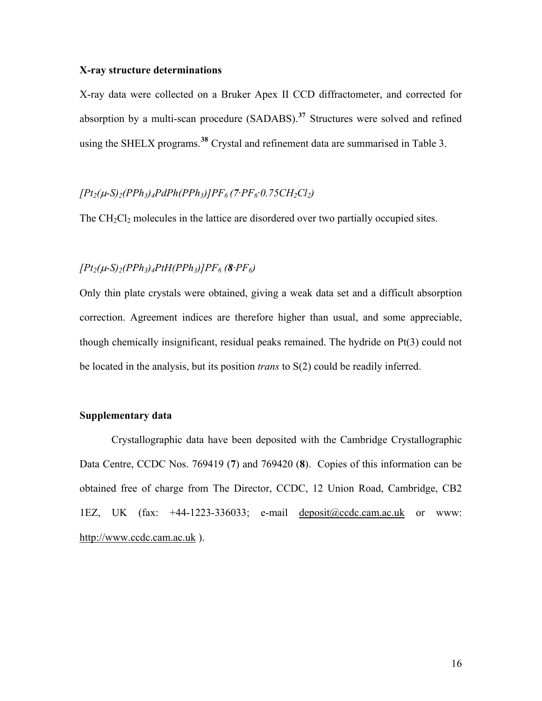#### **X-ray structure determinations**

X-ray data were collected on a Bruker Apex II CCD diffractometer, and corrected for absorption by a multi-scan procedure (SADABS).**[37](#page-4-0)** Structures were solved and refined using the SHELX programs.**[38](#page-4-0)** Crystal and refinement data are summarised in Table 3.

### $[Pt_2(\mu-S)_2(PPh_3)_4PdPh(PPh_3)]PF_6(7.PF_6.0.75CH_2Cl_2)$

The  $CH_2Cl_2$  molecules in the lattice are disordered over two partially occupied sites.

### $[Pt_2(\mu-S)_2(PPh_3)_4PtH(PPh_3)]PF_6$  (8· $PF_6$ )

Only thin plate crystals were obtained, giving a weak data set and a difficult absorption correction. Agreement indices are therefore higher than usual, and some appreciable, though chemically insignificant, residual peaks remained. The hydride on Pt(3) could not be located in the analysis, but its position *trans* to S(2) could be readily inferred.

### **Supplementary data**

 Crystallographic data have been deposited with the Cambridge Crystallographic Data Centre, CCDC Nos. 769419 (**7**) and 769420 (**8**). Copies of this information can be obtained free of charge from The Director, CCDC, 12 Union Road, Cambridge, CB2 1EZ, UK (fax: +44-1223-336033; e-mail [deposit@ccdc.cam.ac.uk](mailto:deposit@ccdc.cam.ac.uk) or www: [http://www.ccdc.cam.ac.uk](http://www.ccdc.cam.ac.uk/) ).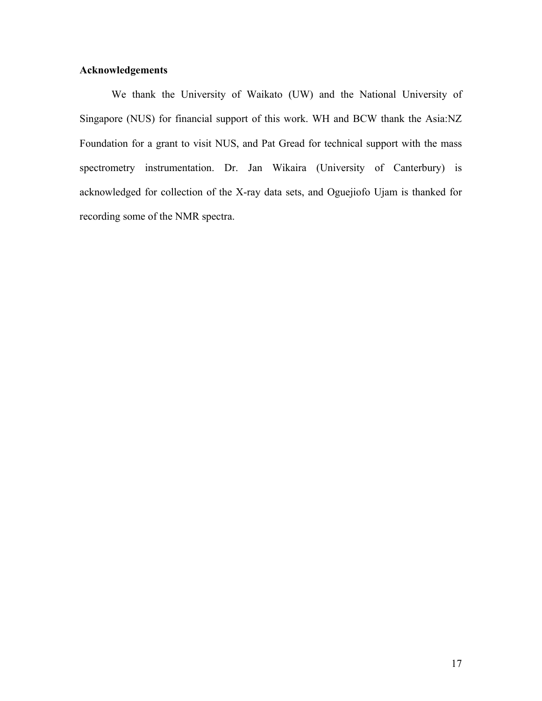## **Acknowledgements**

 We thank the University of Waikato (UW) and the National University of Singapore (NUS) for financial support of this work. WH and BCW thank the Asia:NZ Foundation for a grant to visit NUS, and Pat Gread for technical support with the mass spectrometry instrumentation. Dr. Jan Wikaira (University of Canterbury) is acknowledged for collection of the X-ray data sets, and Oguejiofo Ujam is thanked for recording some of the NMR spectra.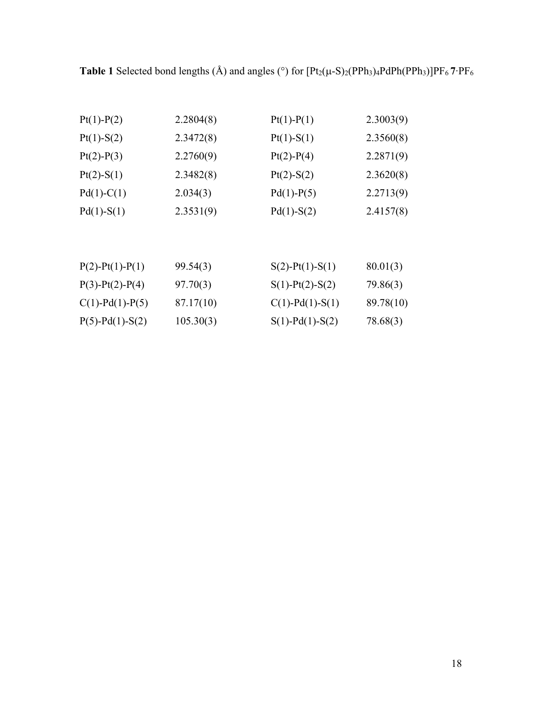**Table 1** Selected bond lengths (Å) and angles (°) for  $[Pt_2(\mu-S)_2(PPh_3)_4PdPh(PPh_3)]PF_67\cdot PF_6$ 

| $Pt(1)-P(2)$              | 2.2804(8) | $Pt(1)-P(1)$              | 2.3003(9) |
|---------------------------|-----------|---------------------------|-----------|
| $Pt(1)-S(2)$              | 2.3472(8) | $Pt(1)-S(1)$              | 2.3560(8) |
| $Pt(2)-P(3)$              | 2.2760(9) | $Pt(2)-P(4)$              | 2.2871(9) |
| $Pt(2)-S(1)$              | 2.3482(8) | $Pt(2)-S(2)$              | 2.3620(8) |
| $Pd(1)-C(1)$              | 2.034(3)  | $Pd(1)-P(5)$              | 2.2713(9) |
| $Pd(1)-S(1)$              | 2.3531(9) | $Pd(1)-S(2)$              | 2.4157(8) |
|                           |           |                           |           |
| $P(2)$ - $Pt(1)$ - $P(1)$ | 99.54(3)  | $S(2)$ -Pt(1)-S(1)        | 80.01(3)  |
| $P(3)$ - $Pt(2)$ - $P(4)$ | 97.70(3)  | $S(1)$ -Pt $(2)$ -S $(2)$ | 79.86(3)  |
| $C(1)$ -Pd(1)-P(5)        | 87.17(10) | $C(1)$ -Pd(1)-S(1)        | 89.78(10) |
| $P(5)$ - $Pd(1)$ -S(2)    | 105.30(3) | $S(1)$ -Pd $(1)$ -S $(2)$ | 78.68(3)  |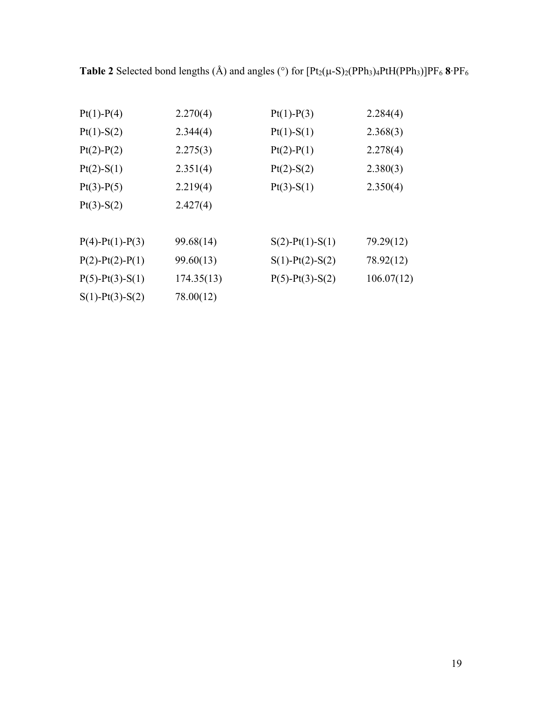**Table 2** Selected bond lengths (Å) and angles (°) for  $[Pt_2(\mu-S)_2(PPh_3)_4PtH(PPh_3)]PF_6$  8<sup>·</sup>PF<sub>6</sub>

| $Pt(1)-P(4)$              | 2.270(4)   | $Pt(1)-P(3)$              | 2.284(4)   |
|---------------------------|------------|---------------------------|------------|
| $Pt(1)-S(2)$              | 2.344(4)   | $Pt(1)-S(1)$              | 2.368(3)   |
| $Pt(2)-P(2)$              | 2.275(3)   | $Pt(2)-P(1)$              | 2.278(4)   |
| $Pt(2)-S(1)$              | 2.351(4)   | $Pt(2)-S(2)$              | 2.380(3)   |
| $Pt(3)-P(5)$              | 2.219(4)   | $Pt(3)-S(1)$              | 2.350(4)   |
| $Pt(3)-S(2)$              | 2.427(4)   |                           |            |
| $P(4) - Pt(1) - P(3)$     | 99.68(14)  | $S(2)$ -Pt(1)-S(1)        | 79.29(12)  |
| $P(2) - Pt(2) - P(1)$     | 99.60(13)  | $S(1)$ -Pt $(2)$ -S $(2)$ | 78.92(12)  |
| $P(5)$ - $Pt(3)$ - $S(1)$ | 174.35(13) | $P(5)$ - $Pt(3)$ - $S(2)$ | 106.07(12) |
| $S(1)$ -Pt $(3)$ -S $(2)$ | 78.00(12)  |                           |            |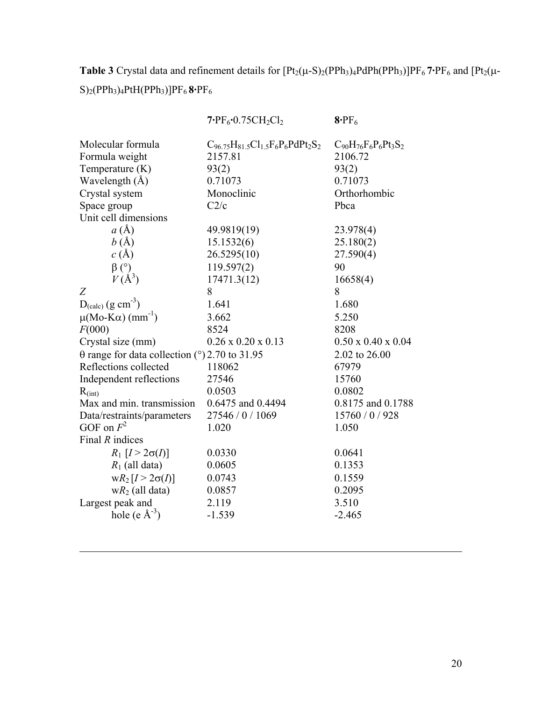**Table 3** Crystal data and refinement details for  $[Pt_2(\mu-S)_2(PPh_3)_4PdPh(PPh_3)]PF_6$  **7·** $PF_6$  and  $[Pt_2(\mu-S)_2(PPh_3)_4PdPh(PPh_3)]PF_6$ S)2(PPh3)4PtH(PPh3)]PF6 **8·**PF6

|                                                      | $7.$ PF <sub>6</sub> $\cdot$ 0.75CH <sub>2</sub> Cl <sub>2</sub> | $8$ ·PF <sub>6</sub>                |
|------------------------------------------------------|------------------------------------------------------------------|-------------------------------------|
| Molecular formula                                    | $C_{96.75}H_{81.5}Cl_{1.5}F_6P_6PdPt_2S_2$                       | $C_{90}H_{76}F_{6}P_{6}Pt_{3}S_{2}$ |
| Formula weight                                       | 2157.81                                                          | 2106.72                             |
| Temperature $(K)$                                    | 93(2)                                                            | 93(2)                               |
| Wavelength $(A)$                                     | 0.71073                                                          | 0.71073                             |
| Crystal system                                       | Monoclinic                                                       | Orthorhombic                        |
| Space group                                          | C2/c                                                             | Pbca                                |
| Unit cell dimensions                                 |                                                                  |                                     |
| $a(\AA)$                                             | 49.9819(19)                                                      | 23.978(4)                           |
| b(A)                                                 | 15.1532(6)                                                       | 25.180(2)                           |
| c(A)                                                 | 26.5295(10)                                                      | 27.590(4)                           |
| $\beta$ (°)                                          | 119.597(2)                                                       | 90                                  |
| $V(\AA^3)$                                           | 17471.3(12)                                                      | 16658(4)                            |
| Ζ                                                    | 8                                                                | 8                                   |
| $D_{\text{(calc)}} (g \text{ cm}^{-3})$              | 1.641                                                            | 1.680                               |
| $\mu(Mo-K\alpha)$ (mm <sup>-1</sup> )                | 3.662                                                            | 5.250                               |
| F(000)                                               | 8524                                                             | 8208                                |
| Crystal size (mm)                                    | $0.26 \times 0.20 \times 0.13$                                   | $0.50 \times 0.40 \times 0.04$      |
| $\theta$ range for data collection (°) 2.70 to 31.95 |                                                                  | 2.02 to 26.00                       |
| Reflections collected                                | 118062                                                           | 67979                               |
| Independent reflections                              | 27546                                                            | 15760                               |
| $R_{\text{(int)}}$                                   | 0.0503                                                           | 0.0802                              |
| Max and min. transmission                            | 0.6475 and 0.4494                                                | 0.8175 and 0.1788                   |
| Data/restraints/parameters                           | 27546 / 0 / 1069                                                 | 15760 / 0 / 928                     |
| GOF on $F^2$                                         | 1.020                                                            | 1.050                               |
| Final $R$ indices                                    |                                                                  |                                     |
| $R_1$ [ $I > 2\sigma(I)$ ]                           | 0.0330                                                           | 0.0641                              |
| $R_1$ (all data)                                     | 0.0605                                                           | 0.1353                              |
| $wR_2[I > 2\sigma(I)]$                               | 0.0743                                                           | 0.1559                              |
| $wR_2$ (all data)                                    | 0.0857                                                           | 0.2095                              |
| Largest peak and                                     | 2.119                                                            | 3.510                               |
| hole (e $\AA^{-3}$ )                                 | $-1.539$                                                         | $-2.465$                            |
|                                                      |                                                                  |                                     |

l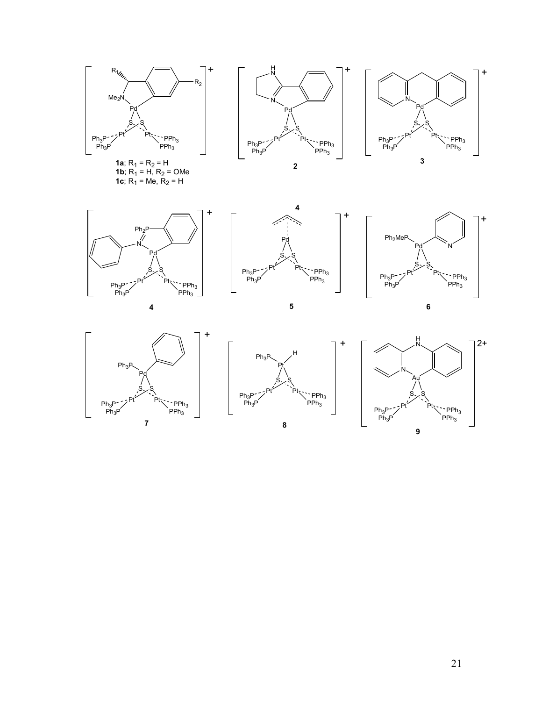













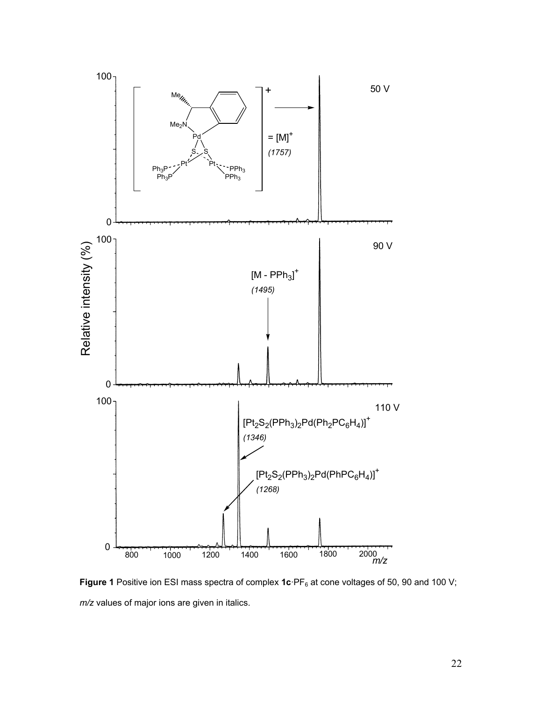

Figure 1 Positive ion ESI mass spectra of complex 1c·PF<sub>6</sub> at cone voltages of 50, 90 and 100 V; *m/z* values of major ions are given in italics.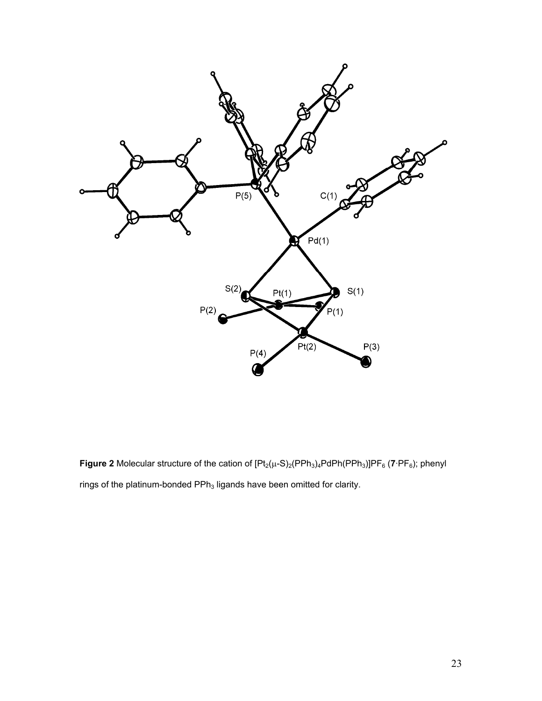

**Figure 2** Molecular structure of the cation of  $[Pt_2(\mu-S)_2(PPh_3)_4PdPh(PPh_3)]PF_6$  (7 $\cdot PF_6$ ); phenyl rings of the platinum-bonded  $\text{PPh}_3$  ligands have been omitted for clarity.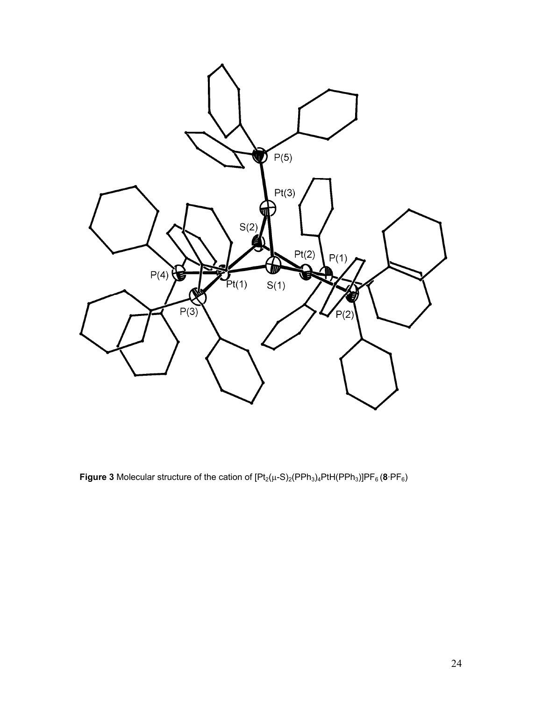

**Figure 3** Molecular structure of the cation of  $[Pt_2(\mu-S)_2(PPh_3)_4PH(PPh_3)]PF_6$  (8·PF<sub>6</sub>)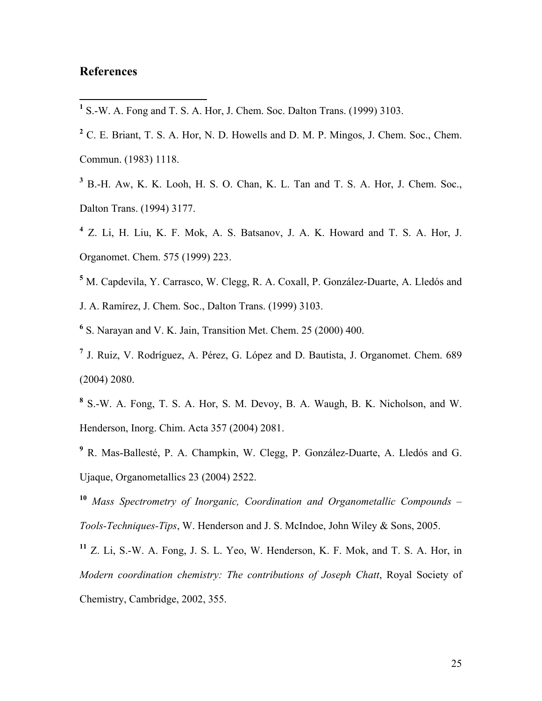# **References**

 $\overline{a}$ 

**<sup>1</sup>** S.-W. A. Fong and T. S. A. Hor, J. Chem. Soc. Dalton Trans. (1999) 3103.

**<sup>3</sup>** B.-H. Aw, K. K. Looh, H. S. O. Chan, K. L. Tan and T. S. A. Hor, J. Chem. Soc., Dalton Trans. (1994) 3177.

**<sup>4</sup>** Z. Li, H. Liu, K. F. Mok, A. S. Batsanov, J. A. K. Howard and T. S. A. Hor, J. Organomet. Chem. 575 (1999) 223.

- <sup>5</sup> M. Capdevila, Y. Carrasco, W. Clegg, R. A. Coxall, P. González-Duarte, A. Lledós and J. A. Ramírez, J. Chem. Soc., Dalton Trans. (1999) 3103.
- **<sup>6</sup>** S. Narayan and V. K. Jain, Transition Met. Chem. 25 (2000) 400.
- **<sup>7</sup>** J. Ruiz, V. Rodríguez, A. Pérez, G. López and D. Bautista, J. Organomet. Chem. 689 (2004) 2080.
- **<sup>8</sup>** S.-W. A. Fong, T. S. A. Hor, S. M. Devoy, B. A. Waugh, B. K. Nicholson, and W. Henderson, Inorg. Chim. Acta 357 (2004) 2081.
- **<sup>9</sup>** R. Mas-Ballesté, P. A. Champkin, W. Clegg, P. González-Duarte, A. Lledós and G. Ujaque, Organometallics 23 (2004) 2522.

**<sup>10</sup>** *Mass Spectrometry of Inorganic, Coordination and Organometallic Compounds – Tools-Techniques-Tips*, W. Henderson and J. S. McIndoe, John Wiley & Sons, 2005.

**<sup>11</sup>** Z. Li, S.-W. A. Fong, J. S. L. Yeo, W. Henderson, K. F. Mok, and T. S. A. Hor, in *Modern coordination chemistry: The contributions of Joseph Chatt*, Royal Society of Chemistry, Cambridge, 2002, 355.

**<sup>2</sup>** C. E. Briant, T. S. A. Hor, N. D. Howells and D. M. P. Mingos, J. Chem. Soc., Chem. Commun. (1983) 1118.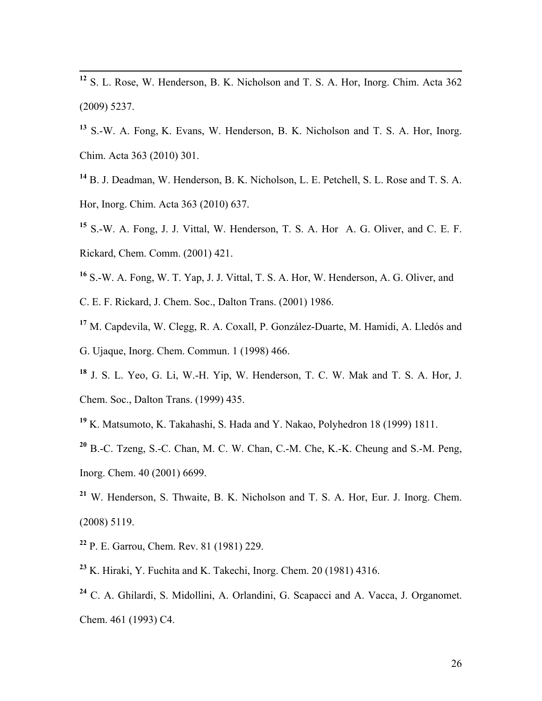**<sup>12</sup>** S. L. Rose, W. Henderson, B. K. Nicholson and T. S. A. Hor, Inorg. Chim. Acta 362 (2009) 5237.

**<sup>13</sup>** S.-W. A. Fong, K. Evans, W. Henderson, B. K. Nicholson and T. S. A. Hor, Inorg. Chim. Acta 363 (2010) 301.

**<sup>14</sup>** B. J. Deadman, W. Henderson, B. K. Nicholson, L. E. Petchell, S. L. Rose and T. S. A. Hor, Inorg. Chim. Acta 363 (2010) 637.

**<sup>15</sup>** S.-W. A. Fong, J. J. Vittal, W. Henderson, T. S. A. Hor A. G. Oliver, and C. E. F. Rickard, Chem. Comm. (2001) 421.

**<sup>16</sup>** S.-W. A. Fong, W. T. Yap, J. J. Vittal, T. S. A. Hor, W. Henderson, A. G. Oliver, and

C. E. F. Rickard, J. Chem. Soc., Dalton Trans. (2001) 1986.

- **<sup>17</sup>** M. Capdevila, W. Clegg, R. A. Coxall, P. González-Duarte, M. Hamidi, A. Lledós and G. Ujaque, Inorg. Chem. Commun. 1 (1998) 466.
- **<sup>18</sup>** J. S. L. Yeo, G. Li, W.-H. Yip, W. Henderson, T. C. W. Mak and T. S. A. Hor, J. Chem. Soc., Dalton Trans. (1999) 435.
- **<sup>19</sup>** K. Matsumoto, K. Takahashi, S. Hada and Y. Nakao, Polyhedron 18 (1999) 1811.

**<sup>20</sup>** B.-C. Tzeng, S.-C. Chan, M. C. W. Chan, C.-M. Che, K.-K. Cheung and S.-M. Peng, Inorg. Chem. 40 (2001) 6699.

- **<sup>21</sup>** W. Henderson, S. Thwaite, B. K. Nicholson and T. S. A. Hor, Eur. J. Inorg. Chem. (2008) 5119.
- **<sup>22</sup>** P. E. Garrou, Chem. Rev. 81 (1981) 229.
- **<sup>23</sup>** K. Hiraki, Y. Fuchita and K. Takechi, Inorg. Chem. 20 (1981) 4316.
- **<sup>24</sup>** C. A. Ghilardi, S. Midollini, A. Orlandini, G. Scapacci and A. Vacca, J. Organomet. Chem. 461 (1993) C4.